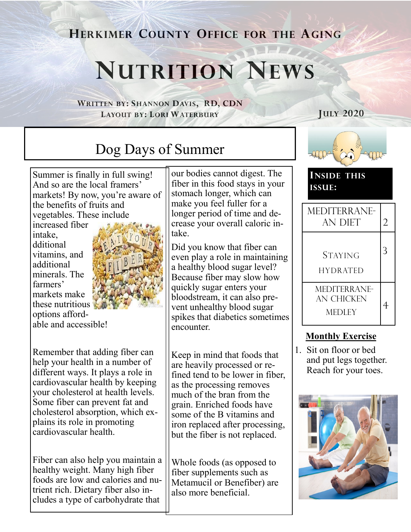**HERKIMER COUNTY OFFICE FOR THE AGING**

# **NUTRITION NEWS**

**WRITTEN BY: SHANNON DAVIS, RD, CDN LAYOUT BY: LORI WATERBURY**

**JULY 2020**

# Dog Days of Summer

Summer is finally in full swing! And so are the local framers' markets! By now, you're aware of the benefits of fruits and vegetables. These include

increased fiber intake, dditional vitamins, and additional minerals. The farmers' markets make these nutritious options affordable and accessible!



Remember that adding fiber can help your health in a number of different ways. It plays a role in cardiovascular health by keeping your cholesterol at health levels. Some fiber can prevent fat and cholesterol absorption, which explains its role in promoting

cardiovascular health.

Fiber can also help you maintain a healthy weight. Many high fiber foods are low and calories and nutrient rich. Dietary fiber also includes a type of carbohydrate that

our bodies cannot digest. The fiber in this food stays in your stomach longer, which can make you feel fuller for a longer period of time and decrease your overall caloric intake.

Did you know that fiber can even play a role in maintaining a healthy blood sugar level? Because fiber may slow how quickly sugar enters your bloodstream, it can also prevent unhealthy blood sugar spikes that diabetics sometimes encounter.

Keep in mind that foods that are heavily processed or refined tend to be lower in fiber, as the processing removes much of the bran from the grain. Enriched foods have some of the B vitamins and iron replaced after processing, but the fiber is not replaced.

Whole foods (as opposed to fiber supplements such as Metamucil or Benefiber) are also more beneficial.



**INSIDE THIS ISSUE:**

| MEDITERRANE-<br><b>AN DIET</b>                     |  |
|----------------------------------------------------|--|
| <b>STAYING</b><br><b>HYDRATED</b>                  |  |
| <b>MEDITERRANE-</b><br>AN CHICKEN<br><b>MEDLEY</b> |  |

### **Monthly Exercise**

1. Sit on floor or bed and put legs together. Reach for your toes.

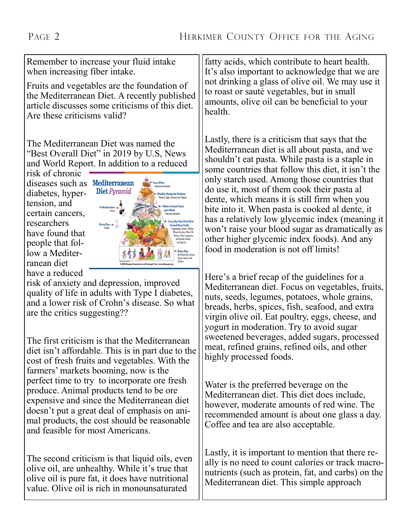Remember to increase your fluid intake when increasing fiber intake.

Fruits and vegetables are the foundation of the Mediterranean Diet. A recently published article discusses some criticisms of this diet. Are these criticisms valid?

The Mediterranean Diet was named the "Best Overall Diet" in 2019 by U.S, News and World Report. In addition to a reduced

risk of chronic diseases such as Mediterranean diabetes, hypertension, and certain cancers, researchers have found that people that follow a Mediterranean diet have a reduced



risk of anxiety and depression, improved quality of life in adults with Type I diabetes, and a lower risk of Crohn's disease. So what are the critics suggesting??

The first criticism is that the Mediterranean diet isn't affordable. This is in part due to the cost of fresh fruits and vegetables. With the farmers' markets booming, now is the perfect time to try to incorporate ore fresh produce. Animal products tend to be ore expensive and since the Mediterranean diet doesn't put a great deal of emphasis on animal products, the cost should be reasonable and feasible for most Americans.

The second criticism is that liquid oils, even olive oil, are unhealthy. While it's true that olive oil is pure fat, it does have nutritional value. Olive oil is rich in monounsaturated

fatty acids, which contribute to heart health. It's also important to acknowledge that we are not drinking a glass of olive oil. We may use it to roast or sauté vegetables, but in small amounts, olive oil can be beneficial to your health.

Lastly, there is a criticism that says that the Mediterranean diet is all about pasta, and we shouldn't eat pasta. While pasta is a staple in some countries that follow this diet, it isn't the only starch used. Among those countries that do use it, most of them cook their pasta al dente, which means it is still firm when you bite into it. When pasta is cooked al dente, it has a relatively low glycemic index (meaning it won't raise your blood sugar as dramatically as other higher glycemic index foods). And any food in moderation is not off limits!

Here's a brief recap of the guidelines for a Mediterranean diet. Focus on vegetables, fruits, nuts, seeds, legumes, potatoes, whole grains, breads, herbs, spices, fish, seafood, and extra virgin olive oil. Eat poultry, eggs, cheese, and yogurt in moderation. Try to avoid sugar sweetened beverages, added sugars, processed meat, refined grains, refined oils, and other highly processed foods.

Water is the preferred beverage on the Mediterranean diet. This diet does include, however, moderate amounts of red wine. The recommended amount is about one glass a day. Coffee and tea are also acceptable.

Lastly, it is important to mention that there really is no need to count calories or track macronutrients (such as protein, fat, and carbs) on the Mediterranean diet. This simple approach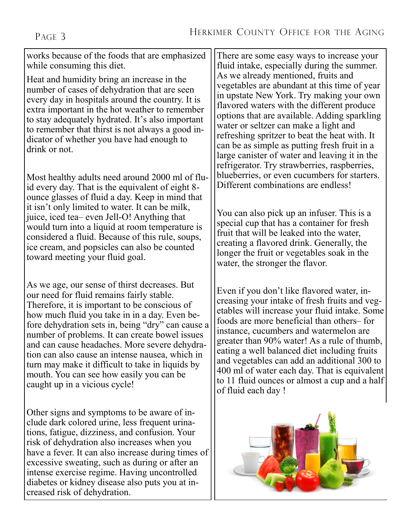works because of the foods that are emphasized while consuming this diet.

Heat and humidity bring an increase in the number of cases of dehydration that are seen every day in hospitals around the country. It is extra important in the hot weather to remember to stay adequately hydrated. It's also important to remember that thirst is not always a good indicator of whether you have had enough to drink or not.

Most healthy adults need around 2000 ml of fluid every day. That is the equivalent of eight 8 ounce glasses of fluid a day. Keep in mind that it isn't only limited to water. It can be milk, juice, iced tea– even Jell-O! Anything that would turn into a liquid at room temperature is considered a fluid. Because of this rule, soups, ice cream, and popsicles can also be counted toward meeting your fluid goal.

As we age, our sense of thirst decreases. But our need for fluid remains fairly stable. Therefore, it is important to be conscious of how much fluid you take in in a day. Even before dehydration sets in, being "dry" can cause a number of problems. It can create bowel issues and can cause headaches. More severe dehydration can also cause an intense nausea, which in turn may make it difficult to take in liquids by mouth. You can see how easily you can be caught up in a vicious cycle!

Other signs and symptoms to be aware of include dark colored urine, less frequent urinations, fatigue, dizziness, and confusion. Your risk of dehydration also increases when you have a fever. It can also increase during times of excessive sweating, such as during or after an intense exercise regime. Having uncontrolled diabetes or kidney disease also puts you at increased risk of dehydration.

There are some easy ways to increase your fluid intake, especially during the summer. As we already mentioned, fruits and vegetables are abundant at this time of year in upstate New York. Try making your own flavored waters with the different produce options that are available. Adding sparkling water or seltzer can make a light and refreshing spritzer to beat the heat with. It can be as simple as putting fresh fruit in a large canister of water and leaving it in the refrigerator. Try strawberries, raspberries, blueberries, or even cucumbers for starters. Different combinations are endless!

You can also pick up an infuser. This is a special cup that has a container for fresh fruit that will be leaked into the water, creating a flavored drink. Generally, the longer the fruit or vegetables soak in the water, the stronger the flavor.

Even if you don't like flavored water, increasing your intake of fresh fruits and vegetables will increase your fluid intake. Some foods are more beneficial than others– for instance, cucumbers and watermelon are greater than 90% water! As a rule of thumb, eating a well balanced diet including fruits and vegetables can add an additional 300 to 400 ml of water each day. That is equivalent to 11 fluid ounces or almost a cup and a half of fluid each day !